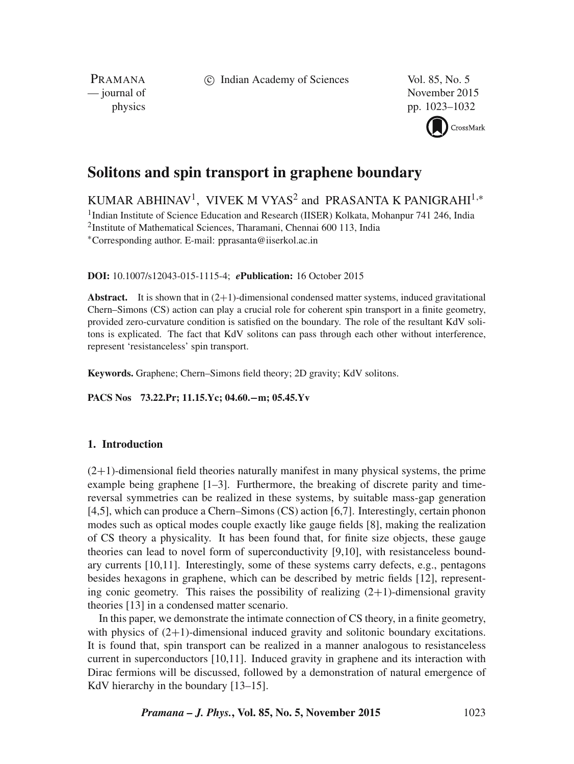c Indian Academy of Sciences Vol. 85, No. 5

PRAMANA<br>
— journal of

November 2015 physics pp. 1023–1032



# **Solitons and spin transport in graphene boundary**

KUMAR ABHINAV<sup>1</sup>, VIVEK M VYAS<sup>2</sup> and PRASANTA K PANIGRAHI<sup>1,</sup>\*

<sup>1</sup>Indian Institute of Science Education and Research (IISER) Kolkata, Mohanpur 741 246, India 2 Institute of Mathematical Sciences, Tharamani, Chennai 600 113, India ∗Corresponding author. E-mail: pprasanta@iiserkol.ac.in

**DOI:** 10.1007/s12043-015-1115-4; *e***Publication:** 16 October 2015

**Abstract.** It is shown that in  $(2+1)$ -dimensional condensed matter systems, induced gravitational Chern–Simons (CS) action can play a crucial role for coherent spin transport in a finite geometry, provided zero-curvature condition is satisfied on the boundary. The role of the resultant KdV solitons is explicated. The fact that KdV solitons can pass through each other without interference, represent 'resistanceless' spin transport.

**Keywords.** Graphene; Chern–Simons field theory; 2D gravity; KdV solitons.

**PACS Nos 73.22.Pr; 11.15.Yc; 04.60.**−**m; 05.45.Yv**

# **1. Introduction**

 $(2+1)$ -dimensional field theories naturally manifest in many physical systems, the prime example being graphene [1–3]. Furthermore, the breaking of discrete parity and timereversal symmetries can be realized in these systems, by suitable mass-gap generation [4,5], which can produce a Chern–Simons (CS) action [6,7]. Interestingly, certain phonon modes such as optical modes couple exactly like gauge fields [8], making the realization of CS theory a physicality. It has been found that, for finite size objects, these gauge theories can lead to novel form of superconductivity [9,10], with resistanceless boundary currents [10,11]. Interestingly, some of these systems carry defects, e.g., pentagons besides hexagons in graphene, which can be described by metric fields [12], representing conic geometry. This raises the possibility of realizing  $(2+1)$ -dimensional gravity theories [13] in a condensed matter scenario.

In this paper, we demonstrate the intimate connection of CS theory, in a finite geometry, with physics of  $(2+1)$ -dimensional induced gravity and solitonic boundary excitations. It is found that, spin transport can be realized in a manner analogous to resistanceless current in superconductors [10,11]. Induced gravity in graphene and its interaction with Dirac fermions will be discussed, followed by a demonstration of natural emergence of KdV hierarchy in the boundary [13–15].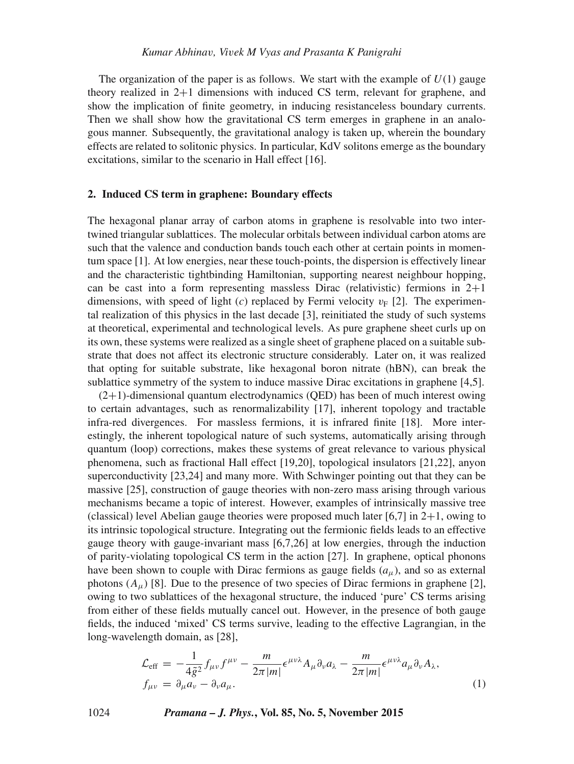The organization of the paper is as follows. We start with the example of  $U(1)$  gauge theory realized in 2+1 dimensions with induced CS term, relevant for graphene, and show the implication of finite geometry, in inducing resistanceless boundary currents. Then we shall show how the gravitational CS term emerges in graphene in an analogous manner. Subsequently, the gravitational analogy is taken up, wherein the boundary effects are related to solitonic physics. In particular, KdV solitons emerge as the boundary excitations, similar to the scenario in Hall effect [16].

# **2. Induced CS term in graphene: Boundary effects**

The hexagonal planar array of carbon atoms in graphene is resolvable into two intertwined triangular sublattices. The molecular orbitals between individual carbon atoms are such that the valence and conduction bands touch each other at certain points in momentum space [1]. At low energies, near these touch-points, the dispersion is effectively linear and the characteristic tightbinding Hamiltonian, supporting nearest neighbour hopping, can be cast into a form representing massless Dirac (relativistic) fermions in  $2+1$ dimensions, with speed of light (c) replaced by Fermi velocity  $v_F$  [2]. The experimental realization of this physics in the last decade [3], reinitiated the study of such systems at theoretical, experimental and technological levels. As pure graphene sheet curls up on its own, these systems were realized as a single sheet of graphene placed on a suitable substrate that does not affect its electronic structure considerably. Later on, it was realized that opting for suitable substrate, like hexagonal boron nitrate (hBN), can break the sublattice symmetry of the system to induce massive Dirac excitations in graphene [4,5].

 $(2+1)$ -dimensional quantum electrodynamics (OED) has been of much interest owing to certain advantages, such as renormalizability [17], inherent topology and tractable infra-red divergences. For massless fermions, it is infrared finite [18]. More interestingly, the inherent topological nature of such systems, automatically arising through quantum (loop) corrections, makes these systems of great relevance to various physical phenomena, such as fractional Hall effect [19,20], topological insulators [21,22], anyon superconductivity [23,24] and many more. With Schwinger pointing out that they can be massive [25], construction of gauge theories with non-zero mass arising through various mechanisms became a topic of interest. However, examples of intrinsically massive tree (classical) level Abelian gauge theories were proposed much later [6,7] in  $2+1$ , owing to its intrinsic topological structure. Integrating out the fermionic fields leads to an effective gauge theory with gauge-invariant mass [6,7,26] at low energies, through the induction of parity-violating topological CS term in the action [27]. In graphene, optical phonons have been shown to couple with Dirac fermions as gauge fields  $(a<sub>u</sub>)$ , and so as external photons  $(A_\mu)$  [8]. Due to the presence of two species of Dirac fermions in graphene [2], owing to two sublattices of the hexagonal structure, the induced 'pure' CS terms arising from either of these fields mutually cancel out. However, in the presence of both gauge fields, the induced 'mixed' CS terms survive, leading to the effective Lagrangian, in the long-wavelength domain, as [28],

$$
\mathcal{L}_{\text{eff}} = -\frac{1}{4\tilde{g}^2} f_{\mu\nu} f^{\mu\nu} - \frac{m}{2\pi |m|} \epsilon^{\mu\nu\lambda} A_{\mu} \partial_{\nu} a_{\lambda} - \frac{m}{2\pi |m|} \epsilon^{\mu\nu\lambda} a_{\mu} \partial_{\nu} A_{\lambda}, f_{\mu\nu} = \partial_{\mu} a_{\nu} - \partial_{\nu} a_{\mu}.
$$
\n(1)

1024 *Pramana – J. Phys.***, Vol. 85, No. 5, November 2015**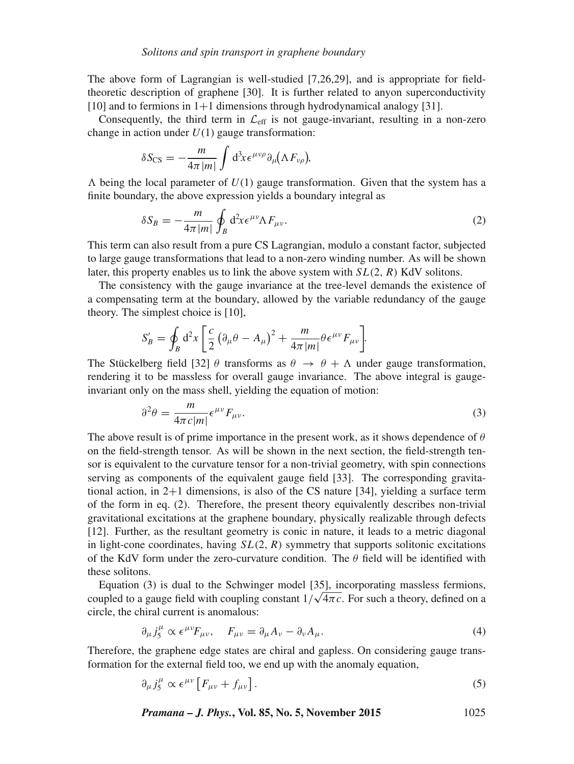The above form of Lagrangian is well-studied [7,26,29], and is appropriate for fieldtheoretic description of graphene [30]. It is further related to anyon superconductivity [10] and to fermions in  $1+1$  dimensions through hydrodynamical analogy [31].

Consequently, the third term in  $\mathcal{L}_{eff}$  is not gauge-invariant, resulting in a non-zero change in action under  $U(1)$  gauge transformation:

$$
\delta S_{\text{CS}} = -\frac{m}{4\pi |m|} \int d^3x \epsilon^{\mu\nu\rho} \partial_\mu (\Lambda F_{\nu\rho}),
$$

 $\Lambda$  being the local parameter of  $U(1)$  gauge transformation. Given that the system has a finite boundary, the above expression yields a boundary integral as

$$
\delta S_B = -\frac{m}{4\pi |m|} \oint_B d^2x \epsilon^{\mu\nu} \Lambda F_{\mu\nu}.
$$
 (2)

This term can also result from a pure CS Lagrangian, modulo a constant factor, subjected to large gauge transformations that lead to a non-zero winding number. As will be shown later, this property enables us to link the above system with  $SL(2, R)$  KdV solitons.

The consistency with the gauge invariance at the tree-level demands the existence of a compensating term at the boundary, allowed by the variable redundancy of the gauge theory. The simplest choice is [10],

$$
S'_{B} = \oint_{B} d^{2}x \left[ \frac{c}{2} \left( \partial_{\mu} \theta - A_{\mu} \right)^{2} + \frac{m}{4\pi |m|} \theta \epsilon^{\mu \nu} F_{\mu \nu} \right].
$$

The Stückelberg field [32]  $\theta$  transforms as  $\theta \rightarrow \theta + \Lambda$  under gauge transformation, rendering it to be massless for overall gauge invariance. The above integral is gaugeinvariant only on the mass shell, yielding the equation of motion:

$$
\partial^2 \theta = \frac{m}{4\pi c |m|} \epsilon^{\mu \nu} F_{\mu \nu}.
$$
 (3)

The above result is of prime importance in the present work, as it shows dependence of  $\theta$ on the field-strength tensor. As will be shown in the next section, the field-strength tensor is equivalent to the curvature tensor for a non-trivial geometry, with spin connections serving as components of the equivalent gauge field [33]. The corresponding gravitational action, in 2+1 dimensions, is also of the CS nature [34], yielding a surface term of the form in eq. (2). Therefore, the present theory equivalently describes non-trivial gravitational excitations at the graphene boundary, physically realizable through defects [12]. Further, as the resultant geometry is conic in nature, it leads to a metric diagonal in light-cone coordinates, having  $SL(2, R)$  symmetry that supports solitonic excitations of the KdV form under the zero-curvature condition. The  $\theta$  field will be identified with these solitons.

Equation (3) is dual to the Schwinger model [35], incorporating massless fermions, coupled to a gauge field with coupling constant  $1/\sqrt{4\pi c}$ . For such a theory, defined on a circle, the chiral current is anomalous:

$$
\partial_{\mu} j_{5}^{\mu} \propto \epsilon^{\mu \nu} F_{\mu \nu}, \quad F_{\mu \nu} = \partial_{\mu} A_{\nu} - \partial_{\nu} A_{\mu}.
$$
\n(4)

Therefore, the graphene edge states are chiral and gapless. On considering gauge transformation for the external field too, we end up with the anomaly equation,

$$
\partial_{\mu} j_{5}^{\mu} \propto \epsilon^{\mu \nu} \left[ F_{\mu \nu} + f_{\mu \nu} \right]. \tag{5}
$$

*Pramana – J. Phys.***, Vol. 85, No. 5, November 2015** 1025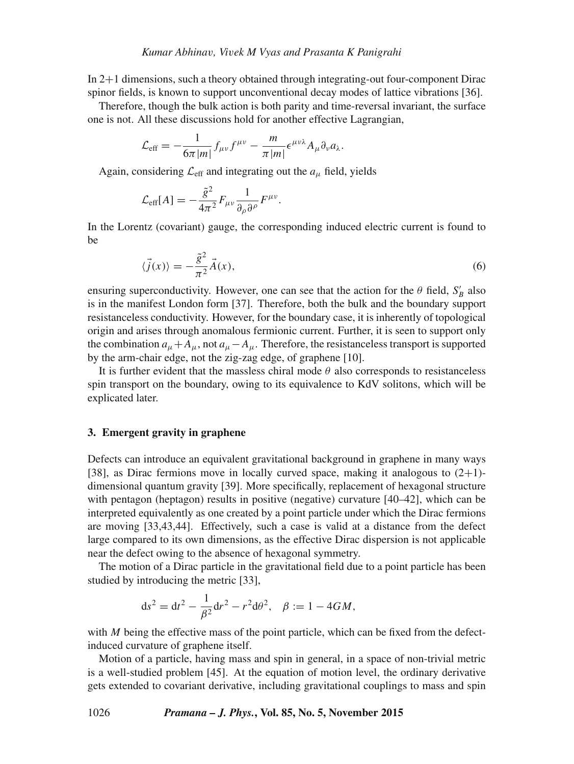In 2+1 dimensions, such a theory obtained through integrating-out four-component Dirac spinor fields, is known to support unconventional decay modes of lattice vibrations [36].

Therefore, though the bulk action is both parity and time-reversal invariant, the surface one is not. All these discussions hold for another effective Lagrangian,

$$
\mathcal{L}_{\text{eff}} = -\frac{1}{6\pi |m|} f_{\mu\nu} f^{\mu\nu} - \frac{m}{\pi |m|} \epsilon^{\mu\nu\lambda} A_{\mu} \partial_{\nu} a_{\lambda}.
$$

Again, considering  $\mathcal{L}_{\text{eff}}$  and integrating out the  $a_{\mu}$  field, yields

$$
\mathcal{L}_{\text{eff}}[A] = -\frac{\tilde{g}^2}{4\pi^2} F_{\mu\nu} \frac{1}{\partial_\rho \partial^\rho} F^{\mu\nu}.
$$

In the Lorentz (covariant) gauge, the corresponding induced electric current is found to be

$$
\langle \vec{j}(x) \rangle = -\frac{\tilde{g}^2}{\pi^2} \vec{A}(x),\tag{6}
$$

ensuring superconductivity. However, one can see that the action for the  $\theta$  field,  $S'_B$  also is in the manifest London form [37]. Therefore, both the bulk and the boundary support resistanceless conductivity. However, for the boundary case, it is inherently of topological origin and arises through anomalous fermionic current. Further, it is seen to support only the combination  $a_{\mu}+A_{\mu}$ , not  $a_{\mu}-A_{\mu}$ . Therefore, the resistanceless transport is supported by the arm-chair edge, not the zig-zag edge, of graphene [10].

It is further evident that the massless chiral mode  $\theta$  also corresponds to resistanceless spin transport on the boundary, owing to its equivalence to KdV solitons, which will be explicated later.

### **3. Emergent gravity in graphene**

Defects can introduce an equivalent gravitational background in graphene in many ways [38], as Dirac fermions move in locally curved space, making it analogous to  $(2+1)$ dimensional quantum gravity [39]. More specifically, replacement of hexagonal structure with pentagon (heptagon) results in positive (negative) curvature [40–42], which can be interpreted equivalently as one created by a point particle under which the Dirac fermions are moving [33,43,44]. Effectively, such a case is valid at a distance from the defect large compared to its own dimensions, as the effective Dirac dispersion is not applicable near the defect owing to the absence of hexagonal symmetry.

The motion of a Dirac particle in the gravitational field due to a point particle has been studied by introducing the metric [33],

$$
ds^{2} = dt^{2} - \frac{1}{\beta^{2}} dr^{2} - r^{2} d\theta^{2}, \quad \beta := 1 - 4GM,
$$

with  $M$  being the effective mass of the point particle, which can be fixed from the defectinduced curvature of graphene itself.

Motion of a particle, having mass and spin in general, in a space of non-trivial metric is a well-studied problem [45]. At the equation of motion level, the ordinary derivative gets extended to covariant derivative, including gravitational couplings to mass and spin

1026 *Pramana – J. Phys.***, Vol. 85, No. 5, November 2015**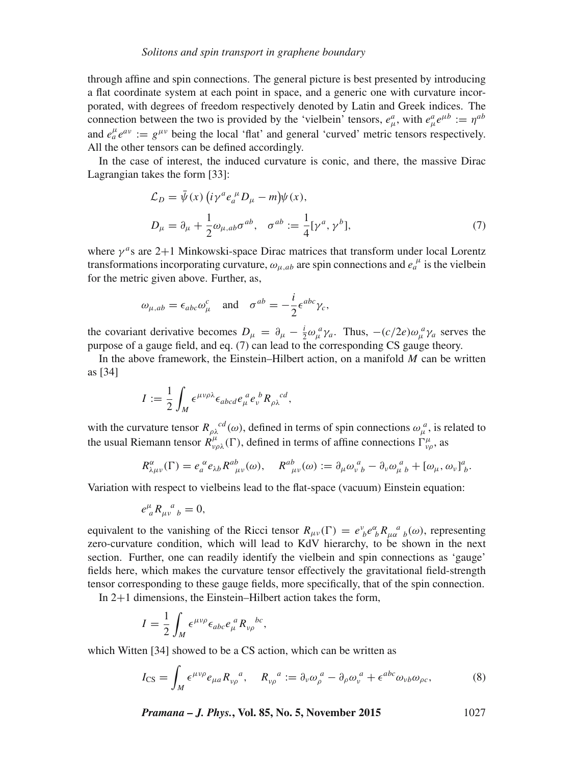through affine and spin connections. The general picture is best presented by introducing a flat coordinate system at each point in space, and a generic one with curvature incorporated, with degrees of freedom respectively denoted by Latin and Greek indices. The connection between the two is provided by the 'vielbein' tensors,  $e^a_\mu$ , with  $e^a_\mu e^{\mu b} := \eta^{ab}$ and  $e^{\mu}_a e^{av} := g^{\mu\nu}$  being the local 'flat' and general 'curved' metric tensors respectively. All the other tensors can be defined accordingly.

In the case of interest, the induced curvature is conic, and there, the massive Dirac Lagrangian takes the form [33]:

$$
\mathcal{L}_D = \bar{\psi}(x) \left( i\gamma^a e_a^{\mu} D_{\mu} - m \right) \psi(x),
$$
  
\n
$$
D_{\mu} = \partial_{\mu} + \frac{1}{2} \omega_{\mu,ab} \sigma^{ab}, \quad \sigma^{ab} := \frac{1}{4} [\gamma^a, \gamma^b],
$$
\n(7)

where  $\gamma^a$ s are 2+1 Minkowski-space Dirac matrices that transform under local Lorentz transformations incorporating curvature,  $\omega_{\mu,ab}$  are spin connections and  $e_a^{\mu}$  is the vielbein for the metric given above. Further, as,

$$
\omega_{\mu,ab} = \epsilon_{abc}\omega^c_\mu
$$
 and  $\sigma^{ab} = -\frac{i}{2}\epsilon^{abc}\gamma_c$ ,

the covariant derivative becomes  $D_{\mu} = \partial_{\mu} - \frac{i}{2} \omega_{\mu}^a \gamma_a$ . Thus,  $-(c/2e)\omega_{\mu}^a \gamma_a$  serves the purpose of a gauge field, and eq. (7) can lead to the corresponding CS gauge theory.

In the above framework, the Einstein–Hilbert action, on a manifold  $M$  can be written as [34]

$$
I := \frac{1}{2} \int_M \epsilon^{\mu\nu\rho\lambda} \epsilon_{abcd} e^{\ a}_{\mu} e^{\ b}_{\nu} R_{\rho\lambda}{}^{cd},
$$

with the curvature tensor  $R_{\rho\lambda}^{cd}(\omega)$ , defined in terms of spin connections  $\omega_{\mu}^{a}$ , is related to the usual Riemann tensor  $\dot{R}^{\mu}_{\nu\rho\lambda}(\Gamma)$ , defined in terms of affine connections  $\Gamma^{\mu}_{\nu\rho}$ , as

$$
R^{\alpha}_{\lambda\mu\nu}(\Gamma) = e_a^{\alpha} e_{\lambda b} R^{ab}_{\mu\nu}(\omega), \quad R^{ab}_{\mu\nu}(\omega) := \partial_{\mu} \omega_{\nu}^a{}_b - \partial_{\nu} \omega_{\mu}^a{}_b + [\omega_{\mu}, \omega_{\nu}]^a{}_b.
$$

Variation with respect to vielbeins lead to the flat-space (vacuum) Einstein equation:

$$
e^{\mu}_{\ a}R_{\mu\nu}^{\ a}{}_{b}=0,
$$

equivalent to the vanishing of the Ricci tensor  $R_{\mu\nu}(\Gamma) = e^{\nu}_{b} e^{\alpha}_{b} R_{\mu\alpha}^{a}{}_{b}(\omega)$ , representing zero-curvature condition, which will lead to KdV hierarchy, to be shown in the next section. Further, one can readily identify the vielbein and spin connections as 'gauge' fields here, which makes the curvature tensor effectively the gravitational field-strength tensor corresponding to these gauge fields, more specifically, that of the spin connection.

In 2+1 dimensions, the Einstein–Hilbert action takes the form,

$$
I = \frac{1}{2} \int_M \epsilon^{\mu\nu\rho} \epsilon_{abc} e_\mu^{\ a} R_{\nu\rho}^{\ b} c,
$$

which Witten [34] showed to be a CS action, which can be written as

$$
I_{\text{CS}} = \int_M \epsilon^{\mu\nu\rho} e_{\mu a} R_{\nu\rho}^{\ \ a}, \quad R_{\nu\rho}^{\ \ a} := \partial_\nu \omega_\rho^{\ a} - \partial_\rho \omega_\nu^{\ a} + \epsilon^{abc} \omega_{\nu b} \omega_{\rho c}, \tag{8}
$$

*Pramana – J. Phys.***, Vol. 85, No. 5, November 2015** 1027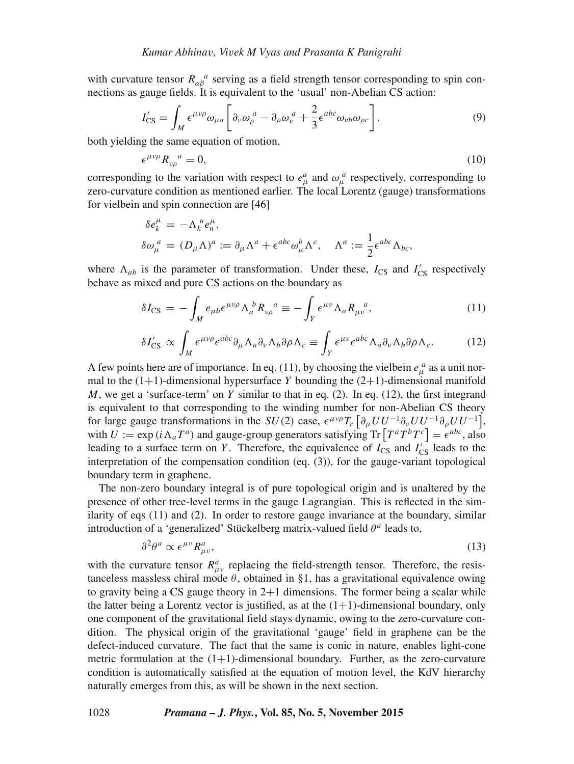with curvature tensor  $R_{\alpha\beta}^{\ \ a}$  serving as a field strength tensor corresponding to spin connections as gauge fields. It is equivalent to the 'usual' non-Abelian CS action:

$$
I'_{\text{CS}} = \int_M \epsilon^{\mu\nu\rho} \omega_{\mu a} \left[ \partial_\nu \omega_\rho^{\ a} - \partial_\rho \omega_\nu^{\ a} + \frac{2}{3} \epsilon^{abc} \omega_{\nu b} \omega_{\rho c} \right],\tag{9}
$$

both yielding the same equation of motion,

$$
\epsilon^{\mu\nu\rho} R_{\nu\rho}^{\ \ a} = 0,\tag{10}
$$

corresponding to the variation with respect to  $e^a_\mu$  and  $\omega_\mu^a$  respectively, corresponding to zero-curvature condition as mentioned earlier. The local Lorentz (gauge) transformations for vielbein and spin connection are [46]

$$
\delta e_k^{\mu} = -\Lambda_k^{\ n} e_n^{\mu},
$$
  
\n
$$
\delta \omega_{\mu}^{\ a} = (D_{\mu} \Lambda)^a := \partial_{\mu} \Lambda^a + \epsilon^{abc} \omega_{\mu}^b \Lambda^c, \quad \Lambda^a := \frac{1}{2} \epsilon^{abc} \Lambda_{bc},
$$

where  $\Lambda_{ab}$  is the parameter of transformation. Under these,  $I_{CS}$  and  $I'_{CS}$  respectively behave as mixed and pure CS actions on the boundary as

$$
\delta I_{\rm CS} = -\int_M e_{\mu b} \epsilon^{\mu \nu \rho} \Lambda_a^{\ b} R_{\nu \rho}^{\ a} \equiv -\int_Y \epsilon^{\mu \nu} \Lambda_a R_{\mu \nu}^{\ a},\tag{11}
$$

$$
\delta I'_{\rm CS} \propto \int_M \epsilon^{\mu\nu\rho} \epsilon^{abc} \partial_\mu \Lambda_a \partial_\nu \Lambda_b \partial \rho \Lambda_c \equiv \int_Y \epsilon^{\mu\nu} \epsilon^{abc} \Lambda_a \partial_\nu \Lambda_b \partial \rho \Lambda_c. \tag{12}
$$

A few points here are of importance. In eq. (11), by choosing the vielbein  $e^a_\mu$  as a unit normal to the  $(1+1)$ -dimensional hypersurface Y bounding the  $(2+1)$ -dimensional manifold M, we get a 'surface-term' on Y similar to that in eq. (2). In eq. (12), the first integrand is equivalent to that corresponding to the winding number for non-Abelian CS theory for large gauge transformations in the  $SU(2)$  case,  $\epsilon^{\mu\nu\rho}T_r \left[ \partial_\mu U U^{-1} \partial_\nu U U^{-1} \partial_\rho U U^{-1} \right]$ , with  $U := \exp(i \Lambda_a T^a)$  and gauge-group generators satisfying  $\text{Tr} [T^a T^b T^c] = \epsilon^{abc}$ , also leading to a surface term on Y. Therefore, the equivalence of  $I_{CS}$  and  $I'_{CS}$  leads to the interpretation of the compensation condition (eq. (3)), for the gauge-variant topological boundary term in graphene.

The non-zero boundary integral is of pure topological origin and is unaltered by the presence of other tree-level terms in the gauge Lagrangian. This is reflected in the similarity of eqs (11) and (2). In order to restore gauge invariance at the boundary, similar introduction of a 'generalized' Stückelberg matrix-valued field  $\theta^a$  leads to,

$$
\partial^2 \theta^a \propto \epsilon^{\mu\nu} R^a_{\mu\nu},\tag{13}
$$

with the curvature tensor  $R_{\mu\nu}^a$  replacing the field-strength tensor. Therefore, the resistanceless massless chiral mode  $\theta$ , obtained in §1, has a gravitational equivalence owing to gravity being a CS gauge theory in  $2+1$  dimensions. The former being a scalar while the latter being a Lorentz vector is justified, as at the  $(1+1)$ -dimensional boundary, only one component of the gravitational field stays dynamic, owing to the zero-curvature condition. The physical origin of the gravitational 'gauge' field in graphene can be the defect-induced curvature. The fact that the same is conic in nature, enables light-cone metric formulation at the  $(1+1)$ -dimensional boundary. Further, as the zero-curvature condition is automatically satisfied at the equation of motion level, the KdV hierarchy naturally emerges from this, as will be shown in the next section.

#### 1028 *Pramana – J. Phys.***, Vol. 85, No. 5, November 2015**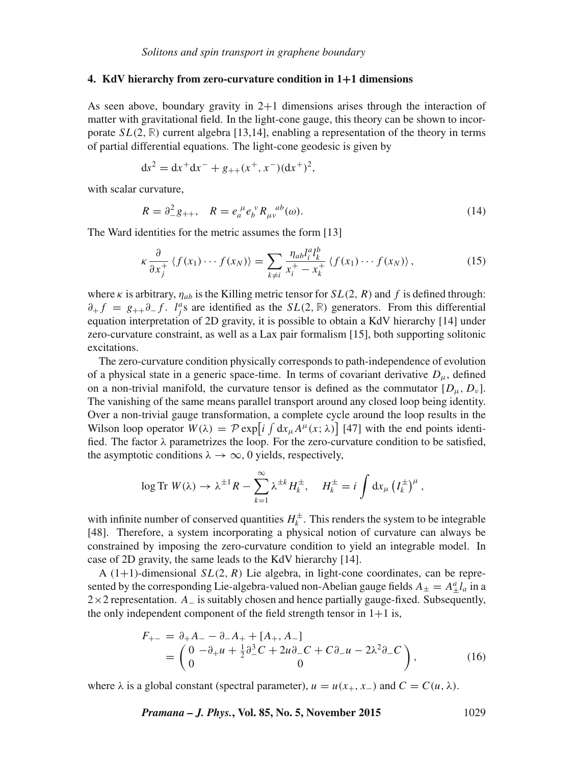#### **4. KdV hierarchy from zero-curvature condition in 1**+**1 dimensions**

As seen above, boundary gravity in  $2+1$  dimensions arises through the interaction of matter with gravitational field. In the light-cone gauge, this theory can be shown to incorporate  $SL(2, \mathbb{R})$  current algebra [13,14], enabling a representation of the theory in terms of partial differential equations. The light-cone geodesic is given by

$$
ds^{2} = dx^{+}dx^{-} + g_{++}(x^{+}, x^{-})(dx^{+})^{2},
$$

with scalar curvature,

$$
R = \partial_{-}^{2}g_{++}, \quad R = e_{a}^{\mu}e_{b}^{\nu}R_{\mu\nu}^{ab}(\omega).
$$
 (14)

The Ward identities for the metric assumes the form [13]

$$
\kappa \frac{\partial}{\partial x_j^+} \left\langle f(x_1) \cdots f(x_N) \right\rangle = \sum_{k \neq i} \frac{\eta_{ab} l_i^a l_k^b}{x_i^+ - x_k^+} \left\langle f(x_1) \cdots f(x_N) \right\rangle, \tag{15}
$$

where  $\kappa$  is arbitrary,  $\eta_{ab}$  is the Killing metric tensor for  $SL(2, R)$  and f is defined through:  $\partial_+ f = g_{++} \partial_- f$ . *l<sup>a</sup>s* are identified as the SL(2, **R)** generators. From this differential equation interpretation of 2D gravity, it is possible to obtain a KdV hierarchy [14] under zero-curvature constraint, as well as a Lax pair formalism [15], both supporting solitonic excitations.

The zero-curvature condition physically corresponds to path-independence of evolution of a physical state in a generic space-time. In terms of covariant derivative  $D_{\mu}$ , defined on a non-trivial manifold, the curvature tensor is defined as the commutator  $[D_\mu, D_\nu]$ . The vanishing of the same means parallel transport around any closed loop being identity. Over a non-trivial gauge transformation, a complete cycle around the loop results in the Wilson loop operator  $W(\lambda) = \mathcal{P} \exp[i \int dx_{\mu} A^{\mu}(x; \lambda)]$  [47] with the end points identified. The factor  $\lambda$  parametrizes the loop. For the zero-curvature condition to be satisfied, the asymptotic conditions  $\lambda \to \infty$ , 0 yields, respectively,

$$
\log \mathrm{Tr} \; W(\lambda) \to \lambda^{\pm 1} R - \sum_{k=1}^{\infty} \lambda^{\pm k} H_k^{\pm}, \quad H_k^{\pm} = i \int \mathrm{d}x_{\mu} \left( I_k^{\pm} \right)^{\mu},
$$

with infinite number of conserved quantities  $H_k^{\pm}$ . This renders the system to be integrable [48]. Therefore, a system incorporating a physical notion of curvature can always be constrained by imposing the zero-curvature condition to yield an integrable model. In case of 2D gravity, the same leads to the KdV hierarchy [14].

A  $(1+1)$ -dimensional  $SL(2, R)$  Lie algebra, in light-cone coordinates, can be represented by the corresponding Lie-algebra-valued non-Abelian gauge fields  $A_{\pm} = A_{\pm}^a l_a$  in a  $2\times2$  representation.  $A_{-}$  is suitably chosen and hence partially gauge-fixed. Subsequently, the only independent component of the field strength tensor in  $1+1$  is,

$$
F_{+-} = \partial_{+} A_{-} - \partial_{-} A_{+} + [A_{+}, A_{-}]
$$
  
=  $\begin{pmatrix} 0 & -\partial_{+} u + \frac{1}{2} \partial_{-}^{3} C + 2u \partial_{-} C + C \partial_{-} u - 2\lambda^{2} \partial_{-} C \\ 0 & 0 \end{pmatrix}$ , (16)

where  $\lambda$  is a global constant (spectral parameter),  $u = u(x_{+}, x_{-})$  and  $C = C(u, \lambda)$ .

*Pramana – J. Phys.***, Vol. 85, No. 5, November 2015** 1029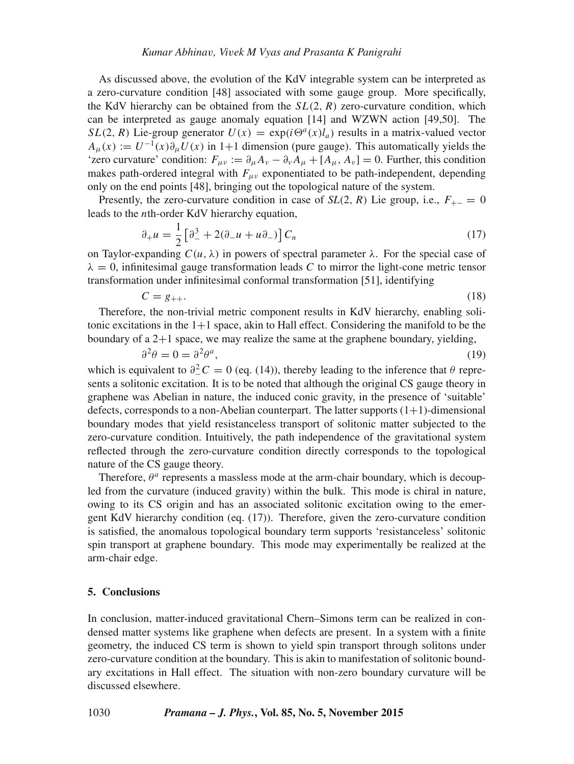As discussed above, the evolution of the KdV integrable system can be interpreted as a zero-curvature condition [48] associated with some gauge group. More specifically, the KdV hierarchy can be obtained from the  $SL(2, R)$  zero-curvature condition, which can be interpreted as gauge anomaly equation [14] and WZWN action [49,50]. The  $SL(2, R)$  Lie-group generator  $U(x) = \exp(i\Theta^a(x)l_a)$  results in a matrix-valued vector  $A_{\mu}(x) := U^{-1}(x)\partial_{\mu}U(x)$  in 1+1 dimension (pure gauge). This automatically yields the 'zero curvature' condition:  $F_{\mu\nu} := \partial_{\mu}A_{\nu} - \partial_{\nu}A_{\mu} + [A_{\mu}, A_{\nu}] = 0$ . Further, this condition makes path-ordered integral with  $F_{\mu\nu}$  exponentiated to be path-independent, depending only on the end points [48], bringing out the topological nature of the system.

Presently, the zero-curvature condition in case of  $SL(2, R)$  Lie group, i.e.,  $F_{+-} = 0$ leads to the nth-order KdV hierarchy equation,

$$
\partial_{+}u = \frac{1}{2} \left[ \partial_{-}^{3} + 2(\partial_{-}u + u\partial_{-}) \right] C_{n}
$$
\n(17)

on Taylor-expanding  $C(u, \lambda)$  in powers of spectral parameter  $\lambda$ . For the special case of  $\lambda = 0$ , infinitesimal gauge transformation leads C to mirror the light-cone metric tensor transformation under infinitesimal conformal transformation [51], identifying

$$
C = g_{++}.\tag{18}
$$

Therefore, the non-trivial metric component results in KdV hierarchy, enabling solitonic excitations in the  $1+1$  space, akin to Hall effect. Considering the manifold to be the boundary of a 2+1 space, we may realize the same at the graphene boundary, yielding,

$$
\partial^2 \theta = 0 = \partial^2 \theta^a,\tag{19}
$$

which is equivalent to  $\partial^2 C = 0$  (eq. (14)), thereby leading to the inference that  $\theta$  represents a solitonic excitation. It is to be noted that although the original CS gauge theory in graphene was Abelian in nature, the induced conic gravity, in the presence of 'suitable' defects, corresponds to a non-Abelian counterpart. The latter supports  $(1+1)$ -dimensional boundary modes that yield resistanceless transport of solitonic matter subjected to the zero-curvature condition. Intuitively, the path independence of the gravitational system reflected through the zero-curvature condition directly corresponds to the topological nature of the CS gauge theory.

Therefore,  $\theta^a$  represents a massless mode at the arm-chair boundary, which is decoupled from the curvature (induced gravity) within the bulk. This mode is chiral in nature, owing to its CS origin and has an associated solitonic excitation owing to the emergent KdV hierarchy condition (eq. (17)). Therefore, given the zero-curvature condition is satisfied, the anomalous topological boundary term supports 'resistanceless' solitonic spin transport at graphene boundary. This mode may experimentally be realized at the arm-chair edge.

# **5. Conclusions**

In conclusion, matter-induced gravitational Chern–Simons term can be realized in condensed matter systems like graphene when defects are present. In a system with a finite geometry, the induced CS term is shown to yield spin transport through solitons under zero-curvature condition at the boundary. This is akin to manifestation of solitonic boundary excitations in Hall effect. The situation with non-zero boundary curvature will be discussed elsewhere.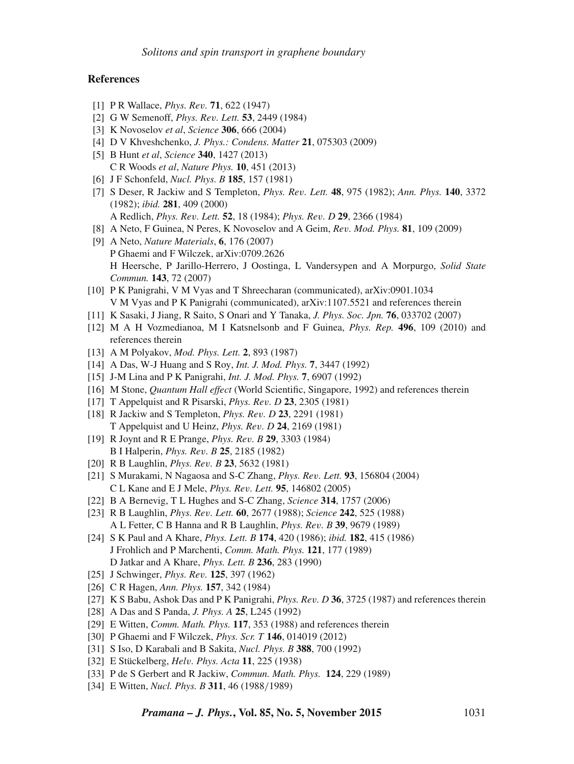## **References**

- [1] P R Wallace, *Phys. Re*v*.* **71**, 622 (1947)
- [2] G W Semenoff, *Phys. Re*v*. Lett.* **53**, 2449 (1984)
- [3] K Novoselov *et al*, *Science* **306**, 666 (2004)
- [4] D V Khveshchenko, *J. Phys.: Condens. Matter* **21**, 075303 (2009)
- [5] B Hunt *et al*, *Science* **340**, 1427 (2013) C R Woods *et al*, *Nature Phys.* **10**, 451 (2013)
- [6] J F Schonfeld, *Nucl. Phys. B* **185**, 157 (1981)
- [7] S Deser, R Jackiw and S Templeton, *Phys. Re*v*. Lett.* **48**, 975 (1982); *Ann. Phys.* **140**, 3372 (1982); *ibid.* **281**, 409 (2000) A Redlich, *Phys. Re*v*. Lett.* **52**, 18 (1984); *Phys. Re*v*. D* **29**, 2366 (1984)
- [8] A Neto, F Guinea, N Peres, K Novoselov and A Geim, *Re*v*. Mod. Phys.* **81**, 109 (2009)
- [9] A Neto, *Nature Materials*, **6**, 176 (2007) P Ghaemi and F Wilczek, arXiv:0709.2626 H Heersche, P Jarillo-Herrero, J Oostinga, L Vandersypen and A Morpurgo, *Solid State Commun.* **143**, 72 (2007)
- [10] P K Panigrahi, V M Vyas and T Shreecharan (communicated), arXiv:0901.1034 V M Vyas and P K Panigrahi (communicated), arXiv:1107.5521 and references therein
- [11] K Sasaki, J Jiang, R Saito, S Onari and Y Tanaka, *J. Phys. Soc. Jpn.* **76**, 033702 (2007)
- [12] M A H Vozmedianoa, M I Katsnelsonb and F Guinea, *Phys. Rep.* **496**, 109 (2010) and references therein
- [13] A M Polyakov, *Mod. Phys. Lett.* **2**, 893 (1987)
- [14] A Das, W-J Huang and S Roy, *Int. J. Mod. Phys.* **7**, 3447 (1992)
- [15] J-M Lina and P K Panigrahi, *Int. J. Mod. Phys.* **7**, 6907 (1992)
- [16] M Stone, *Quantum Hall effect* (World Scientific, Singapore, 1992) and references therein
- [17] T Appelquist and R Pisarski, *Phys. Re*v*. D* **23**, 2305 (1981)
- [18] R Jackiw and S Templeton, *Phys. Re*v*. D* **23**, 2291 (1981) T Appelquist and U Heinz, *Phys. Re*v*. D* **24**, 2169 (1981)
- [19] R Joynt and R E Prange, *Phys. Re*v*. B* **29**, 3303 (1984) B I Halperin, *Phys. Re*v*. B* **25**, 2185 (1982)
- [20] R B Laughlin, *Phys. Re*v*. B* **23**, 5632 (1981)
- [21] S Murakami, N Nagaosa and S-C Zhang, *Phys. Re*v*. Lett.* **93**, 156804 (2004) C L Kane and E J Mele, *Phys. Re*v*. Lett.* **95**, 146802 (2005)
- [22] B A Bernevig, T L Hughes and S-C Zhang, *Science* **314**, 1757 (2006)
- [23] R B Laughlin, *Phys. Re*v*. Lett.* **60**, 2677 (1988); *Science* **242**, 525 (1988) A L Fetter, C B Hanna and R B Laughlin, *Phys. Re*v*. B* **39**, 9679 (1989)
- [24] S K Paul and A Khare, *Phys. Lett. B* **174**, 420 (1986); *ibid.* **182**, 415 (1986) J Frohlich and P Marchenti, *Comm. Math. Phys.* **121**, 177 (1989) D Jatkar and A Khare, *Phys. Lett. B* **236**, 283 (1990)
- [25] J Schwinger, *Phys. Re*v*.* **125**, 397 (1962)
- [26] C R Hagen, *Ann. Phys.* **157**, 342 (1984)
- [27] K S Babu, Ashok Das and P K Panigrahi, *Phys. Re*v*. D* **36**, 3725 (1987) and references therein
- [28] A Das and S Panda, *J. Phys. A* **25**, L245 (1992)
- [29] E Witten, *Comm. Math. Phys.* **117**, 353 (1988) and references therein
- [30] P Ghaemi and F Wilczek, *Phys. Scr. T* **146**, 014019 (2012)
- [31] S Iso, D Karabali and B Sakita, *Nucl. Phys. B* **388**, 700 (1992)
- [32] E Stückelberg, *Hel*v*. Phys. Acta* **11**, 225 (1938)
- [33] P de S Gerbert and R Jackiw, *Commun. Math. Phys.* **124**, 229 (1989)
- [34] E Witten, *Nucl. Phys. B* **311**, 46 (1988/1989)